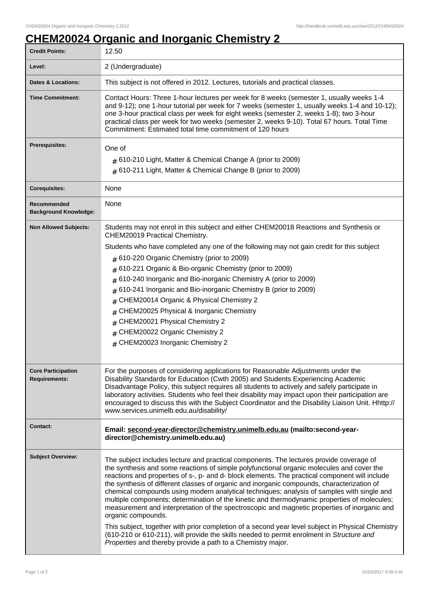## **CHEM20024 Organic and Inorganic Chemistry 2**

| <b>Credit Points:</b>                             | 12.50                                                                                                                                                                                                                                                                                                                                                                                                                                                                                                                                                                                                                                                                                                                                                                                                                                                                                                                                                                     |
|---------------------------------------------------|---------------------------------------------------------------------------------------------------------------------------------------------------------------------------------------------------------------------------------------------------------------------------------------------------------------------------------------------------------------------------------------------------------------------------------------------------------------------------------------------------------------------------------------------------------------------------------------------------------------------------------------------------------------------------------------------------------------------------------------------------------------------------------------------------------------------------------------------------------------------------------------------------------------------------------------------------------------------------|
| Level:                                            | 2 (Undergraduate)                                                                                                                                                                                                                                                                                                                                                                                                                                                                                                                                                                                                                                                                                                                                                                                                                                                                                                                                                         |
| <b>Dates &amp; Locations:</b>                     | This subject is not offered in 2012. Lectures, tutorials and practical classes.                                                                                                                                                                                                                                                                                                                                                                                                                                                                                                                                                                                                                                                                                                                                                                                                                                                                                           |
| <b>Time Commitment:</b>                           | Contact Hours: Three 1-hour lectures per week for 8 weeks (semester 1, usually weeks 1-4<br>and 9-12); one 1-hour tutorial per week for 7 weeks (semester 1, usually weeks 1-4 and 10-12);<br>one 3-hour practical class per week for eight weeks (semester 2, weeks 1-8); two 3-hour<br>practical class per week for two weeks (semester 2, weeks 9-10). Total 67 hours. Total Time<br>Commitment: Estimated total time commitment of 120 hours                                                                                                                                                                                                                                                                                                                                                                                                                                                                                                                          |
| <b>Prerequisites:</b>                             | One of                                                                                                                                                                                                                                                                                                                                                                                                                                                                                                                                                                                                                                                                                                                                                                                                                                                                                                                                                                    |
|                                                   | $#$ 610-210 Light, Matter & Chemical Change A (prior to 2009)<br>$#$ 610-211 Light, Matter & Chemical Change B (prior to 2009)                                                                                                                                                                                                                                                                                                                                                                                                                                                                                                                                                                                                                                                                                                                                                                                                                                            |
| <b>Corequisites:</b>                              | None                                                                                                                                                                                                                                                                                                                                                                                                                                                                                                                                                                                                                                                                                                                                                                                                                                                                                                                                                                      |
| Recommended<br><b>Background Knowledge:</b>       | None                                                                                                                                                                                                                                                                                                                                                                                                                                                                                                                                                                                                                                                                                                                                                                                                                                                                                                                                                                      |
| <b>Non Allowed Subjects:</b>                      | Students may not enrol in this subject and either CHEM20018 Reactions and Synthesis or<br>CHEM20019 Practical Chemistry.                                                                                                                                                                                                                                                                                                                                                                                                                                                                                                                                                                                                                                                                                                                                                                                                                                                  |
|                                                   | Students who have completed any one of the following may not gain credit for this subject                                                                                                                                                                                                                                                                                                                                                                                                                                                                                                                                                                                                                                                                                                                                                                                                                                                                                 |
|                                                   | $#$ 610-220 Organic Chemistry (prior to 2009)                                                                                                                                                                                                                                                                                                                                                                                                                                                                                                                                                                                                                                                                                                                                                                                                                                                                                                                             |
|                                                   | 610-221 Organic & Bio-organic Chemistry (prior to 2009)<br>#                                                                                                                                                                                                                                                                                                                                                                                                                                                                                                                                                                                                                                                                                                                                                                                                                                                                                                              |
|                                                   | 610-240 Inorganic and Bio-inorganic Chemistry A (prior to 2009)<br>#                                                                                                                                                                                                                                                                                                                                                                                                                                                                                                                                                                                                                                                                                                                                                                                                                                                                                                      |
|                                                   | 610-241 Inorganic and Bio-inorganic Chemistry B (prior to 2009)<br>#                                                                                                                                                                                                                                                                                                                                                                                                                                                                                                                                                                                                                                                                                                                                                                                                                                                                                                      |
|                                                   | CHEM20014 Organic & Physical Chemistry 2                                                                                                                                                                                                                                                                                                                                                                                                                                                                                                                                                                                                                                                                                                                                                                                                                                                                                                                                  |
|                                                   | CHEM20025 Physical & Inorganic Chemistry<br>#                                                                                                                                                                                                                                                                                                                                                                                                                                                                                                                                                                                                                                                                                                                                                                                                                                                                                                                             |
|                                                   | CHEM20021 Physical Chemistry 2<br>#                                                                                                                                                                                                                                                                                                                                                                                                                                                                                                                                                                                                                                                                                                                                                                                                                                                                                                                                       |
|                                                   | # CHEM20022 Organic Chemistry 2<br># CHEM20023 Inorganic Chemistry 2                                                                                                                                                                                                                                                                                                                                                                                                                                                                                                                                                                                                                                                                                                                                                                                                                                                                                                      |
|                                                   |                                                                                                                                                                                                                                                                                                                                                                                                                                                                                                                                                                                                                                                                                                                                                                                                                                                                                                                                                                           |
| <b>Core Participation</b><br><b>Requirements:</b> | For the purposes of considering applications for Reasonable Adjustments under the<br>Disability Standards for Education (Cwth 2005) and Students Experiencing Academic<br>Disadvantage Policy, this subject requires all students to actively and safely participate in<br>laboratory activities. Students who feel their disability may impact upon their participation are<br>encouraged to discuss this with the Subject Coordinator and the Disability Liaison Unit. Hhttp://<br>www.services.unimelb.edu.au/disability/                                                                                                                                                                                                                                                                                                                                                                                                                                              |
| Contact:                                          | Email: second-year-director@chemistry.unimelb.edu.au (mailto:second-year-<br>director@chemistry.unimelb.edu.au)                                                                                                                                                                                                                                                                                                                                                                                                                                                                                                                                                                                                                                                                                                                                                                                                                                                           |
| <b>Subject Overview:</b>                          | The subject includes lecture and practical components. The lectures provide coverage of<br>the synthesis and some reactions of simple polyfunctional organic molecules and cover the<br>reactions and properties of s-, p- and d- block elements. The practical component will include<br>the synthesis of different classes of organic and inorganic compounds, characterization of<br>chemical compounds using modern analytical techniques; analysis of samples with single and<br>multiple components; determination of the kinetic and thermodynamic properties of molecules;<br>measurement and interpretation of the spectroscopic and magnetic properties of inorganic and<br>organic compounds.<br>This subject, together with prior completion of a second year level subject in Physical Chemistry<br>(610-210 or 610-211), will provide the skills needed to permit enrolment in Structure and<br>Properties and thereby provide a path to a Chemistry major. |